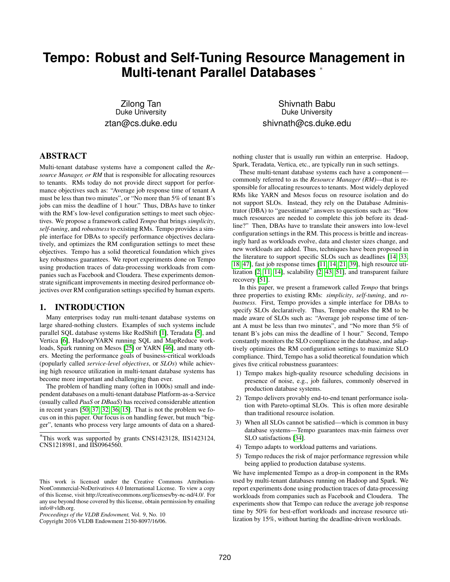# **Tempo: Robust and Self-Tuning Resource Management in Multi-tenant Parallel Databases** <sup>∗</sup>

Zilong Tan Duke University ztan@cs.duke.edu

# ABSTRACT

Multi-tenant database systems have a component called the *Resource Manager, or RM* that is responsible for allocating resources to tenants. RMs today do not provide direct support for performance objectives such as: "Average job response time of tenant A must be less than two minutes", or "No more than 5% of tenant B's jobs can miss the deadline of 1 hour." Thus, DBAs have to tinker with the RM's low-level configuration settings to meet such objectives. We propose a framework called *Tempo* that brings *simplicity*, *self-tuning*, and *robustness* to existing RMs. Tempo provides a simple interface for DBAs to specify performance objectives declaratively, and optimizes the RM configuration settings to meet these objectives. Tempo has a solid theoretical foundation which gives key robustness guarantees. We report experiments done on Tempo using production traces of data-processing workloads from companies such as Facebook and Cloudera. These experiments demonstrate significant improvements in meeting desired performance objectives over RM configuration settings specified by human experts.

#### <span id="page-0-0"></span>1. INTRODUCTION

Many enterprises today run multi-tenant database systems on large shared-nothing clusters. Examples of such systems include parallel SQL database systems like RedShift [\[1\]](#page-10-0), Teradata [\[5\]](#page-10-1), and Vertica [\[6\]](#page-10-2), Hadoop/YARN running SQL and MapReduce workloads, Spark running on Mesos [\[25\]](#page-11-0) or YARN [\[46\]](#page-11-1), and many others. Meeting the performance goals of business-critical workloads (popularly called *service-level objectives*, or *SLOs*) while achieving high resource utilization in multi-tenant database systems has become more important and challenging than ever.

The problem of handling many (often in 1000s) small and independent databases on a multi-tenant database Platform-as-a-Service (usually called *PaaS* or *DBaaS*) has received considerable attention in recent years [\[50,](#page-11-2) [37,](#page-11-3) [32,](#page-11-4) [36,](#page-11-5) [15\]](#page-11-6). That is not the problem we focus on in this paper. Our focus is on handling fewer, but much "bigger", tenants who process very large amounts of data on a shared-

*Proceedings of the VLDB Endowment,* Vol. 9, No. 10

Copyright 2016 VLDB Endowment 2150-8097/16/06.

Shivnath Babu Duke University shivnath@cs.duke.edu

nothing cluster that is usually run within an enterprise. Hadoop, Spark, Teradata, Vertica, etc., are typically run in such settings.

These multi-tenant database systems each have a component commonly referred to as the *Resource Manager (RM)*—that is responsible for allocating resources to tenants. Most widely deployed RMs like YARN and Mesos focus on resource isolation and do not support SLOs. Instead, they rely on the Database Administrator (DBA) to "guesstimate" answers to questions such as: "How much resources are needed to complete this job before its deadline?" Then, DBAs have to translate their answers into low-level configuration settings in the RM. This process is brittle and increasingly hard as workloads evolve, data and cluster sizes change, and new workloads are added. Thus, techniques have been proposed in the literature to support specific SLOs such as deadlines [\[14,](#page-10-3) [33,](#page-11-7) [18,](#page-11-8) [47\]](#page-11-9), fast job response times [\[11,](#page-10-4) [14,](#page-10-3) [21,](#page-11-10) [39\]](#page-11-11), high resource utilization [\[2,](#page-10-5) [11,](#page-10-4) [14\]](#page-10-3), scalability [\[2,](#page-10-5) [43,](#page-11-12) [51\]](#page-11-13), and transparent failure recovery [\[51\]](#page-11-13).

In this paper, we present a framework called *Tempo* that brings three properties to existing RMs: *simplicity*, *self-tuning*, and *robustness*. First, Tempo provides a simple interface for DBAs to specify SLOs declaratively. Thus, Tempo enables the RM to be made aware of SLOs such as: "Average job response time of tenant A must be less than two minutes", and "No more than 5% of tenant B's jobs can miss the deadline of 1 hour." Second, Tempo constantly monitors the SLO compliance in the database, and adaptively optimizes the RM configuration settings to maximize SLO compliance. Third, Tempo has a solid theoretical foundation which gives five critical robustness guarantees:

- 1) Tempo makes high-quality resource scheduling decisions in presence of noise, e.g., job failures, commonly observed in production database systems.
- 2) Tempo delivers provably end-to-end tenant performance isolation with Pareto-optimal SLOs. This is often more desirable than traditional resource isolation.
- 3) When all SLOs cannot be satisfied—which is common in busy database systems—Tempo guarantees max-min fairness over SLO satisfactions [\[34\]](#page-11-14).
- 4) Tempo adapts to workload patterns and variations.
- 5) Tempo reduces the risk of major performance regression while being applied to production database systems.

We have implemented Tempo as a drop-in component in the RMs used by multi-tenant databases running on Hadoop and Spark. We report experiments done using production traces of data-processing workloads from companies such as Facebook and Cloudera. The experiments show that Tempo can reduce the average job response time by 50% for best-effort workloads and increase resource utilization by 15%, without hurting the deadline-driven workloads.

<sup>∗</sup>This work was supported by grants CNS1423128, IIS1423124, CNS1218981, and IIS0964560.

This work is licensed under the Creative Commons Attribution-NonCommercial-NoDerivatives 4.0 International License. To view a copy of this license, visit http://creativecommons.org/licenses/by-nc-nd/4.0/. For any use beyond those covered by this license, obtain permission by emailing info@vldb.org.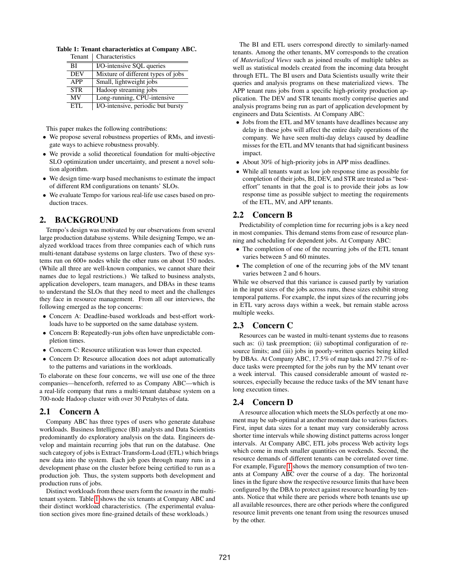<span id="page-1-0"></span>

| <b>Tenant</b> | Characteristics                    |
|---------------|------------------------------------|
| ВI            | I/O-intensive SQL queries          |
| <b>DEV</b>    | Mixture of different types of jobs |
| <b>APP</b>    | Small, lightweight jobs            |
| <b>STR</b>    | Hadoop streaming jobs              |
| MV            | Long-running, CPU-intensive        |
| ETL           | I/O-intensive, periodic but bursty |

Table 1: Tenant characteristics at Company ABC.

This paper makes the following contributions:

- We propose several robustness properties of RMs, and investigate ways to achieve robustness provably.
- We provide a solid theoretical foundation for multi-objective SLO optimization under uncertainty, and present a novel solution algorithm.
- We design time-warp based mechanisms to estimate the impact of different RM configurations on tenants' SLOs.
- We evaluate Tempo for various real-life use cases based on production traces.

# 2. BACKGROUND

Tempo's design was motivated by our observations from several large production database systems. While designing Tempo, we analyzed workload traces from three companies each of which runs multi-tenant database systems on large clusters. Two of these systems run on 600+ nodes while the other runs on about 150 nodes. (While all three are well-known companies, we cannot share their names due to legal restrictions.) We talked to business analysts, application developers, team managers, and DBAs in these teams to understand the SLOs that they need to meet and the challenges they face in resource management. From all our interviews, the following emerged as the top concerns:

- Concern A: Deadline-based workloads and best-effort workloads have to be supported on the same database system.
- Concern B: Repeatedly-run jobs often have unpredictable completion times.
- Concern C: Resource utilization was lower than expected.
- Concern D: Resource allocation does not adapt automatically to the patterns and variations in the workloads.

To elaborate on these four concerns, we will use one of the three companies—henceforth, referred to as Company ABC—which is a real-life company that runs a multi-tenant database system on a 700-node Hadoop cluster with over 30 Petabytes of data.

# 2.1 Concern A

Company ABC has three types of users who generate database workloads. Business Intelligence (BI) analysts and Data Scientists predominantly do exploratory analysis on the data. Engineers develop and maintain recurring jobs that run on the database. One such category of jobs is Extract-Transform-Load (ETL) which brings new data into the system. Each job goes through many runs in a development phase on the cluster before being certified to run as a production job. Thus, the system supports both development and production runs of jobs.

Distinct workloads from these users form the *tenants*in the multitenant system. Table [1](#page-1-0) shows the six tenants at Company ABC and their distinct workload characteristics. (The experimental evaluation section gives more fine-grained details of these workloads.)

The BI and ETL users correspond directly to similarly-named tenants. Among the other tenants, MV corresponds to the creation of *Materialized Views* such as joined results of multiple tables as well as statistical models created from the incoming data brought through ETL. The BI users and Data Scientists usually write their queries and analysis programs on these materialized views. The APP tenant runs jobs from a specific high-priority production application. The DEV and STR tenants mostly comprise queries and analysis programs being run as part of application development by engineers and Data Scientists. At Company ABC:

- Jobs from the ETL and MV tenants have deadlines because any delay in these jobs will affect the entire daily operations of the company. We have seen multi-day delays caused by deadline misses for the ETL and MV tenants that had significant business impact.
- About 30% of high-priority jobs in APP miss deadlines.
- While all tenants want as low job response time as possible for completion of their jobs, BI, DEV, and STR are treated as "besteffort" tenants in that the goal is to provide their jobs as low response time as possible subject to meeting the requirements of the ETL, MV, and APP tenants.

## 2.2 Concern B

Predictability of completion time for recurring jobs is a key need in most companies. This demand stems from ease of resource planning and scheduling for dependent jobs. At Company ABC:

- The completion of one of the recurring jobs of the ETL tenant varies between 5 and 60 minutes.
- The completion of one of the recurring jobs of the MV tenant varies between 2 and 6 hours.

While we observed that this variance is caused partly by variation in the input sizes of the jobs across runs, these sizes exhibit strong temporal patterns. For example, the input sizes of the recurring jobs in ETL vary across days within a week, but remain stable across multiple weeks.

# <span id="page-1-1"></span>2.3 Concern C

Resources can be wasted in multi-tenant systems due to reasons such as: (i) task preemption; (ii) suboptimal configuration of resource limits; and (iii) jobs in poorly-written queries being killed by DBAs. At Company ABC, 17.5% of map tasks and 27.7% of reduce tasks were preempted for the jobs run by the MV tenant over a week interval. This caused considerable amount of wasted resources, especially because the reduce tasks of the MV tenant have long execution times.

# 2.4 Concern D

A resource allocation which meets the SLOs perfectly at one moment may be sub-optimal at another moment due to various factors. First, input data sizes for a tenant may vary considerably across shorter time intervals while showing distinct patterns across longer intervals. At Company ABC, ETL jobs process Web activity logs which come in much smaller quantities on weekends. Second, the resource demands of different tenants can be correlated over time. For example, Figure [1](#page-2-0) shows the memory consumption of two tenants at Company ABC over the course of a day. The horizontal lines in the figure show the respective resource limits that have been configured by the DBA to protect against resource hoarding by tenants. Notice that while there are periods where both tenants use up all available resources, there are other periods where the configured resource limit prevents one tenant from using the resources unused by the other.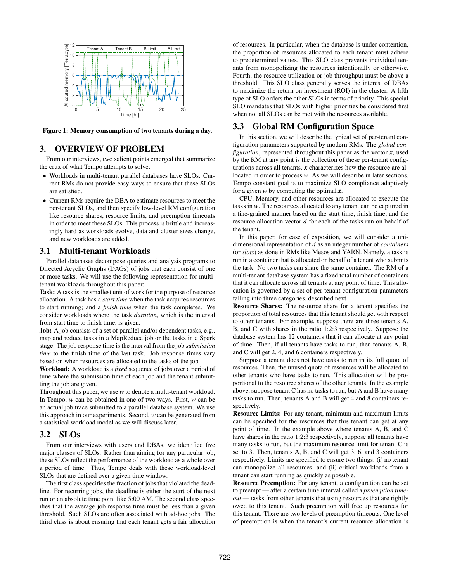

<span id="page-2-0"></span>Figure 1: Memory consumption of two tenants during a day.

#### <span id="page-2-2"></span>3. OVERVIEW OF PROBLEM

From our interviews, two salient points emerged that summarize the crux of what Tempo attempts to solve:

- Workloads in multi-tenant parallel databases have SLOs. Current RMs do not provide easy ways to ensure that these SLOs are satisfied.
- Current RMs require the DBA to estimate resources to meet the per-tenant SLOs, and then specify low-level RM configuration like resource shares, resource limits, and preemption timeouts in order to meet these SLOs. This process is brittle and increasingly hard as workloads evolve, data and cluster sizes change, and new workloads are added.

#### <span id="page-2-4"></span>3.1 Multi-tenant Workloads

Parallel databases decompose queries and analysis programs to Directed Acyclic Graphs (DAGs) of jobs that each consist of one or more tasks. We will use the following representation for multitenant workloads throughout this paper:

Task: A task is the smallest unit of work for the purpose of resource allocation. A task has a *start time* when the task acquires resources to start running; and a *finish time* when the task completes. We consider workloads where the task *duration*, which is the interval from start time to finish time, is given.

Job: A job consists of a set of parallel and/or dependent tasks, e.g., map and reduce tasks in a MapReduce job or the tasks in a Spark stage. The job response time is the interval from the job *submission time* to the finish time of the last task. Job response times vary based on when resources are allocated to the tasks of the job.

Workload: A workload is a *fixed* sequence of jobs over a period of time where the submission time of each job and the tenant submitting the job are given.

Throughout this paper, we use *w* to denote a multi-tenant workload. In Tempo, *w* can be obtained in one of two ways. First, *w* can be an actual job trace submitted to a parallel database system. We use this approach in our experiments. Second, *w* can be generated from a statistical workload model as we will discuss later.

# <span id="page-2-3"></span>3.2 SLOs

From our interviews with users and DBAs, we identified five major classes of SLOs. Rather than aiming for any particular job, these SLOs reflect the performance of the workload as a whole over a period of time. Thus, Tempo deals with these workload-level SLOs that are defined over a given time window.

The first class specifies the fraction of jobs that violated the deadline. For recurring jobs, the deadline is either the start of the next run or an absolute time point like 5:00 AM. The second class specifies that the average job response time must be less than a given threshold. Such SLOs are often associated with ad-hoc jobs. The third class is about ensuring that each tenant gets a fair allocation

of resources. In particular, when the database is under contention, the proportion of resources allocated to each tenant must adhere to predetermined values. This SLO class prevents individual tenants from monopolizing the resources intentionally or otherwise. Fourth, the resource utilization or job throughput must be above a threshold. This SLO class generally serves the interest of DBAs to maximize the return on investment (ROI) in the cluster. A fifth type of SLO orders the other SLOs in terms of priority. This special SLO mandates that SLOs with higher priorities be considered first when not all SLOs can be met with the resources available.

# <span id="page-2-1"></span>3.3 Global RM Configuration Space

In this section, we will describe the typical set of per-tenant configuration parameters supported by modern RMs. The *global configuration*, represented throughout this paper as the vector *x*, used by the RM at any point is the collection of these per-tenant configurations across all tenants. *x* characterizes how the resource are allocated in order to process *w*. As we will describe in later sections, Tempo constant goal is to maximize SLO compliance adaptively for a given *w* by computing the optimal *x*.

CPU, Memory, and other resources are allocated to execute the tasks in *w*. The resources allocated to any tenant can be captured in a fine-grained manner based on the start time, finish time, and the resource allocation vector *d* for each of the tasks run on behalf of the tenant.

In this paper, for ease of exposition, we will consider a unidimensional representation of *d* as an integer number of *containers* (or *slots*) as done in RMs like Mesos and YARN. Namely, a task is run in a container that is allocated on behalf of a tenant who submits the task. No two tasks can share the same container. The RM of a multi-tenant database system has a fixed total number of containers that it can allocate across all tenants at any point of time. This allocation is governed by a set of per-tenant configuration parameters falling into three categories, described next.

Resource Shares: The resource share for a tenant specifies the proportion of total resources that this tenant should get with respect to other tenants. For example, suppose there are three tenants A, B, and C with shares in the ratio 1:2:3 respectively. Suppose the database system has 12 containers that it can allocate at any point of time. Then, if all tenants have tasks to run, then tenants A, B, and C will get 2, 4, and 6 containers respectively.

Suppose a tenant does not have tasks to run in its full quota of resources. Then, the unused quota of resources will be allocated to other tenants who have tasks to run. This allocation will be proportional to the resource shares of the other tenants. In the example above, suppose tenant C has no tasks to run, but A and B have many tasks to run. Then, tenants A and B will get 4 and 8 containers respectively.

Resource Limits: For any tenant, minimum and maximum limits can be specified for the resources that this tenant can get at any point of time. In the example above where tenants A, B, and C have shares in the ratio 1:2:3 respectively, suppose all tenants have many tasks to run, but the maximum resource limit for tenant C is set to 3. Then, tenants A, B, and C will get 3, 6, and 3 containers respectively. Limits are specified to ensure two things: (i) no tenant can monopolize all resources, and (ii) critical workloads from a tenant can start running as quickly as possible.

Resource Preemption: For any tenant, a configuration can be set to preempt — after a certain time interval called a *preemption timeout* — tasks from other tenants that using resources that are rightly owed to this tenant. Such preemption will free up resources for this tenant. There are two levels of preemption timeouts. One level of preemption is when the tenant's current resource allocation is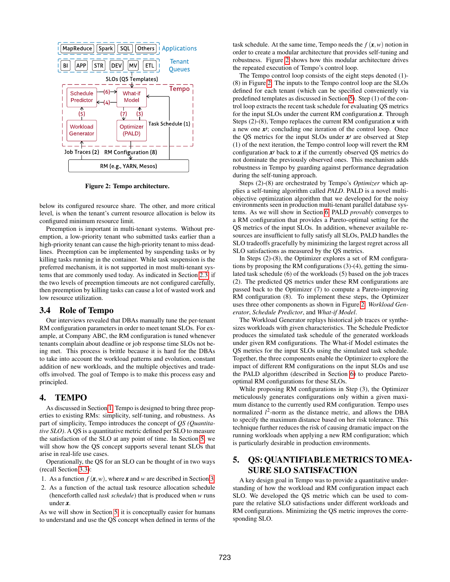

<span id="page-3-1"></span>Figure 2: Tempo architecture.

below its configured resource share. The other, and more critical level, is when the tenant's current resource allocation is below its configured minimum resource limit.

Preemption is important in multi-tenant systems. Without preemption, a low-priority tenant who submitted tasks earlier than a high-priority tenant can cause the high-priority tenant to miss deadlines. Preemption can be implemented by suspending tasks or by killing tasks running in the container. While task suspension is the preferred mechanism, it is not supported in most multi-tenant systems that are commonly used today. As indicated in Section [2.3,](#page-1-1) if the two levels of preemption timeouts are not configured carefully, then preemption by killing tasks can cause a lot of wasted work and low resource utilization.

### 3.4 Role of Tempo

Our interviews revealed that DBAs manually tune the per-tenant RM configuration parameters in order to meet tenant SLOs. For example, at Company ABC, the RM configuration is tuned whenever tenants complain about deadline or job response time SLOs not being met. This process is brittle because it is hard for the DBAs to take into account the workload patterns and evolution, constant addition of new workloads, and the multiple objectives and tradeoffs involved. The goal of Tempo is to make this process easy and principled.

# 4. TEMPO

As discussed in Section [1,](#page-0-0) Tempo is designed to bring three properties to existing RMs: simplicity, self-tuning, and robustness. As part of simplicity, Tempo introduces the concept of *QS (Quantitative SLO)*. A QS is a quantitative metric defined per SLO to measure the satisfaction of the SLO at any point of time. In Section [5,](#page-3-0) we will show how the QS concept supports several tenant SLOs that arise in real-life use cases.

Operationally, the QS for an SLO can be thought of in two ways (recall Section [3.3\)](#page-2-1):

- 1. As a function  $f(x, w)$ , where **x** and w are described in Section [3.](#page-2-2)
- 2. As a function of the actual task resource allocation schedule (henceforth called *task schedule*) that is produced when *w* runs under *x*.

As we will show in Section [5,](#page-3-0) it is conceptually easier for humans to understand and use the QS concept when defined in terms of the

task schedule. At the same time, Tempo needs the  $f(\mathbf{x}, w)$  notion in order to create a modular architecture that provides self-tuning and robustness. Figure [2](#page-3-1) shows how this modular architecture drives the repeated execution of Tempo's control loop.

The Tempo control loop consists of the eight steps denoted (1)- (8) in Figure [2.](#page-3-1) The inputs to the Tempo control loop are the SLOs defined for each tenant (which can be specified conveniently via predefined templates as discussed in Section [5\)](#page-3-0). Step (1) of the control loop extracts the recent task schedule for evaluating QS metrics for the input SLOs under the current RM configuration *x*. Through Steps (2)-(8), Tempo replaces the current RM configuration *x* with a new one x<sup>n</sup>; concluding one iteration of the control loop. Once the QS metrics for the input SLOs under  $x$ <sup>*t*</sup> are observed at Step (1) of the next iteration, the Tempo control loop will revert the RM configuration  $x$ <sup>*t*</sup> back to  $x$  if the currently observed QS metrics do not dominate the previously observed ones. This mechanism adds robustness in Tempo by guarding against performance degradation during the self-tuning approach.

Steps (2)-(8) are orchestrated by Tempo's *Optimizer* which applies a self-tuning algorithm called *PALD*. PALD is a novel multiobjective optimization algorithm that we developed for the noisy environments seen in production multi-tenant parallel database systems. As we will show in Section [6,](#page-4-0) PALD *provably* converges to a RM configuration that provides a Pareto-optimal setting for the QS metrics of the input SLOs. In addition, whenever available resources are insufficient to fully satisfy all SLOs, PALD handles the SLO tradeoffs gracefully by minimizing the largest regret across all SLO satisfactions as measured by the QS metrics.

In Steps (2)-(8), the Optimizer explores a set of RM configurations by proposing the RM configurations (3)-(4), getting the simulated task schedule (6) of the workloads (5) based on the job traces (2). The predicted QS metrics under these RM configurations are passed back to the Optimizer (7) to compute a Pareto-improving RM configuration (8). To implement these steps, the Optimizer uses three other components as shown in Figure [2:](#page-3-1) *Workload Generator*, *Schedule Predictor*, and *What-if Model*.

The Workload Generator replays historical job traces or synthesizes workloads with given characteristics. The Schedule Predictor produces the simulated task schedule of the generated workloads under given RM configurations. The What-if Model estimates the QS metrics for the input SLOs using the simulated task schedule. Together, the three components enable the Optimizer to explore the impact of different RM configurations on the input SLOs and use the PALD algorithm (described in Section [6\)](#page-4-0) to produce Paretooptimal RM configurations for these SLOs.

While proposing RM configurations in Step (3), the Optimizer meticulously generates configurations only within a given maximum distance to the currently used RM configuration. Tempo uses normalized  $l^2$ -norm as the distance metric, and allows the DBA to specify the maximum distance based on her risk tolerance. This technique further reduces the risk of causing dramatic impact on the running workloads when applying a new RM configuration; which is particularly desirable in production environments.

# <span id="page-3-0"></span>5. QS: QUANTIFIABLEMETRICS TOMEA-SURE SLO SATISFACTION

A key design goal in Tempo was to provide a quantitative understanding of how the workload and RM configuration impact each SLO. We developed the QS metric which can be used to compare the relative SLO satisfactions under different workloads and RM configurations. Minimizing the QS metric improves the corresponding SLO.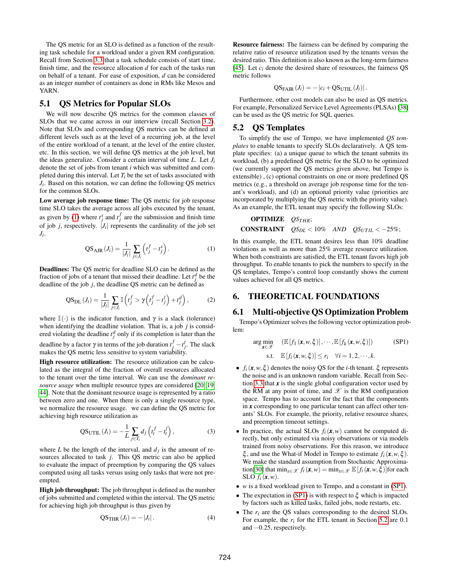The QS metric for an SLO is defined as a function of the resulting task schedule for a workload under a given RM configuration. Recall from Section [3.3](#page-2-1) that a task schedule consists of start time, finish time, and the resource allocation *d* for each of the tasks run on behalf of a tenant. For ease of exposition, *d* can be considered as an integer number of containers as done in RMs like Mesos and YARN.

# 5.1 QS Metrics for Popular SLOs

We will now describe QS metrics for the common classes of SLOs that we came across in our interview (recall Section [3.2\)](#page-2-3). Note that SLOs and corresponding QS metrics can be defined at different levels such as at the level of a recurring job, at the level of the entire workload of a tenant, at the level of the entire cluster, etc. In this section, we will define QS metrics at the job level, but the ideas generalize. Consider a certain interval of time *L*. Let *Ji* denote the set of jobs from tenant *i* which was submitted and completed during this interval. Let  $T_i$  be the set of tasks associated with *Ji* . Based on this notation, we can define the following QS metrics for the common SLOs.

Low average job response time: The QS metric for job response time SLO takes the average across all jobs executed by the tenant, as given by [\(1\)](#page-4-1) where  $t_j^s$  and  $t_j^f$  are the submission and finish time of job *j*, respectively.  $|J_i|$  represents the cardinality of the job set *Ji* .

$$
QS_{AJR}(J_i) = \frac{1}{|J_i|} \sum_{j \in J_i} \left( t_j^f - t_j^s \right). \tag{1}
$$

Deadlines: The QS metric for deadline SLO can be defined as the fraction of jobs of a tenant that missed their deadline. Let  $t_j^d$  be the deadline of the job *j*, the deadline QS metric can be defined as

$$
QS_{\text{DL}}(J_i) = \frac{1}{|J_i|} \sum_{j \in J_i} \mathbb{I}\left(t_j^f > \gamma \left(t_j^f - t_j^l\right) + t_j^d\right),\tag{2}
$$

where  $\mathbb{I}(\cdot)$  is the indicator function, and  $\gamma$  is a slack (tolerance) when identifying the deadline violation. That is, a job *j* is considered violating the deadline  $t_j^d$  only if its completion is later than the deadline by a factor  $\gamma$  in terms of the job duration  $t_j^f - t_j^l$ . The slack makes the QS metric less sensitive to system variability.

High resource utilization: The resource utilization can be calculated as the integral of the fraction of overall resources allocated to the tenant over the time interval. We can use the *dominant resource usage* when multiple resource types are considered [\[20,](#page-11-15) [19,](#page-11-16) [44\]](#page-11-17). Note that the dominant resource usage is represented by a ratio between zero and one. When there is only a single resource type, we normalize the resource usage. we can define the QS metric for achieving high resource utilization as

$$
QS_{\text{UTIL}}(J_i) = -\frac{1}{L} \sum_{j \in T_i} d_j \left( t_i^f - t_i^l \right), \tag{3}
$$

where *L* be the length of the interval, and  $d_j$  is the amount of resources allocated to task *j*. This QS metric can also be applied to evaluate the impact of preemption by comparing the QS values computed using all tasks versus using only tasks that were not preempted.

High job throughput: The job throughput is defined as the number of jobs submitted and completed within the interval. The QS metric for achieving high job throughput is thus given by

$$
QSTHR (Ji) = -|Ji|.
$$
 (4)

Resource fairness: The fairness can be defined by comparing the relative ratio of resource utilization used by the tenants versus the desired ratio. This definition is also known as the long-term fairness [\[45\]](#page-11-18). Let  $c_i$  denote the desired share of resources, the fairness  $QS$ metric follows

$$
QS_{FAIR}(J_i) = -|c_i + QS_{UTIL}(J_i)|.
$$

Furthermore, other cost models can also be used as QS metrics. For example, Personalized Service Level Agreements (PLSAs) [\[38\]](#page-11-19) can be used as the QS metric for SQL queries.

#### <span id="page-4-3"></span>5.2 QS Templates

To simplify the use of Tempo, we have implemented *QS templates* to enable tenants to specify SLOs declaratively. A QS template specifies: (a) a unique queue to which the tenant submits its workload, (b) a predefined QS metric for the SLO to be optimized (we currently support the QS metrics given above, but Tempo is extensible) , (c) optional constraints on one or more predefined QS metrics (e.g., a threshold on average job response time for the tenant's workload), and (d) an optional priority value (priorities are incorporated by multiplying the QS metric with the priority value). As an example, the ETL tenant may specify the following SLOs:

**OPTIMIZE** *QSTHR*;  
**CONSTRAINT** *QSDL* 
$$
<
$$
 10% *AND QSUTH*  $<$  -25%;

<span id="page-4-1"></span>In this example, the ETL tenant desires less than 10% deadline violations as well as more than 25% average resource utilization. When both constraints are satisfied, the ETL tenant favors high job throughput. To enable tenants to pick the numbers to specify in the QS templates, Tempo's control loop constantly shows the current values achieved for all QS metrics.

# <span id="page-4-0"></span>6. THEORETICAL FOUNDATIONS

#### 6.1 Multi-objective QS Optimization Problem

Tempo's Optimizer solves the following vector optimization problem:

<span id="page-4-2"></span>
$$
\arg\min_{\mathbf{x}\in\mathcal{X}} \quad (\mathbb{E}\left[f_1(\mathbf{x}, w, \xi)\right], \cdots, \mathbb{E}\left[f_k(\mathbf{x}, w, \xi)\right]) \tag{SP1}
$$
\n
$$
\text{s.t.} \quad \mathbb{E}\left[f_i(\mathbf{x}, w, \xi)\right] \le r_i \quad \forall i = 1, 2, \cdots, k.
$$

- $f_i(x, w, \xi)$  denotes the noisy QS for the *i*-th tenant.  $\xi$  represents the noise and is an unknown random variable. Recall from Sec-tion [3.3](#page-2-1) that  $x$  is the single global configuration vector used by the RM at any point of time, and  $\mathscr X$  is the RM configuration space. Tempo has to account for the fact that the components in *x* corresponding to one particular tenant can affect other tenants' SLOs. For example, the priority, relative resource shares, and preemption timeout settings.
- In practice, the actual SLOs  $f_i(\mathbf{x}, w)$  cannot be computed directly, but only estimated via noisy observations or via models trained from noisy observations. For this reason, we introduce ξ , and use the What-if Model in Tempo to estimate *fi*(*x*,*w*,ξ ). We make the standard assumption from Stochastic Approxima-tion[\[30\]](#page-11-20) that min<sub>*x∈*  $\mathcal{X}$ *</sub> f<sub><i>i*</sub>( $\mathbf{x}$ ,*w*) = min<sub>*x∈*  $\mathcal{X}$ </sub>  $\mathbb{E}[f_i(\mathbf{x}, w, \xi)]$  for each</sub> SLO  $f_i(\mathbf{x}, w)$ .
- *w* is a fixed workload given to Tempo, and a constant in [\(SP1\)](#page-4-2).
- The expectation in [\(SP1\)](#page-4-2) is with respect to  $\xi$  which is impacted by factors such as killed tasks, failed jobs, node restarts, etc.
- The  $r_i$  are the QS values corresponding to the desired SLOs. For example, the *r<sup>i</sup>* for the ETL tenant in Section [5.2](#page-4-3) are 0.1 and −0.25, respectively.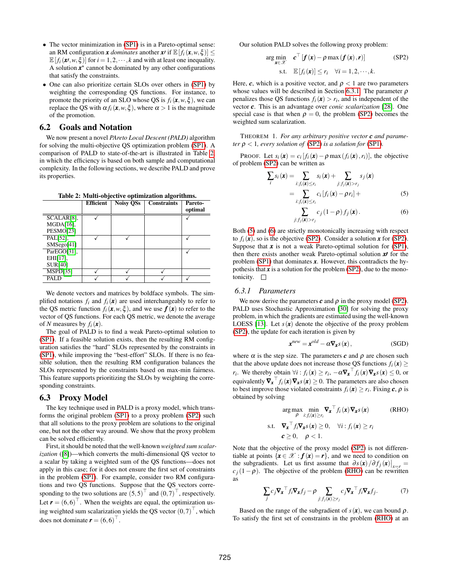- The vector minimization in [\(SP1\)](#page-4-2) is in a Pareto-optimal sense: an RM configuration *x dominates* another *x*<sup>0</sup> if  $\mathbb{E}[f_i(\mathbf{x}, w, \xi)]$  <  $\mathbb{E}[f_i(\mathbf{x},t, w, \xi)]$  for  $i = 1, 2, \dots, k$  and with at least one inequality. A solution  $x^*$  cannot be dominated by any other configurations that satisfy the constraints.
- One can also prioritize certain SLOs over others in [\(SP1\)](#page-4-2) by weighting the corresponding QS functions. For instance, to promote the priority of an SLO whose QS is  $f_i(\mathbf{x}, w, \xi)$ , we can replace the QS with  $\alpha f_i(x, w, \xi)$ , where  $\alpha > 1$  is the magnitude of the promotion.

#### 6.2 Goals and Notation

We now present a novel *PAreto Local Descent (PALD)* algorithm for solving the multi-objective QS optimization problem [\(SP1\)](#page-4-2). A comparison of PALD to state-of-the-art is illustrated in Table [2,](#page-5-0) in which the efficiency is based on both sample and computational complexity. In the following sections, we describe PALD and prove its properties.

|                 | Efficient | <b>Noisy QSs</b> | <b>Constraints</b> | Pareto-<br>optimal |
|-----------------|-----------|------------------|--------------------|--------------------|
| $SCALAR[8]$ ,   |           |                  |                    |                    |
| $MGDA[16]$ ,    |           |                  |                    |                    |
| PESMO[23]       |           |                  |                    |                    |
| PAL[52],        |           |                  |                    |                    |
| SMSego[41]      |           |                  |                    |                    |
| ParEGO[31],     |           |                  |                    |                    |
| EHI[17],        |           |                  |                    |                    |
| <b>SUR[40]</b>  |           |                  |                    |                    |
| <b>MSPD[35]</b> |           |                  |                    |                    |
| PALD            |           |                  |                    |                    |

<span id="page-5-0"></span>Table 2: Multi-objective optimization algorithms.

We denote vectors and matrices by boldface symbols. The simplified notations  $f_i$  and  $f_i(\mathbf{x})$  are used interchangeably to refer to the QS metric function  $f_i(x, w, \xi)$ , and we use  $f(x)$  to refer to the vector of QS functions. For each QS metric, we denote the average of *N* measures by  $f_i(\mathbf{x})$ .

The goal of PALD is to find a weak Pareto-optimal solution to [\(SP1\)](#page-4-2). If a feasible solution exists, then the resulting RM configuration satisfies the "hard" SLOs represented by the constraints in [\(SP1\)](#page-4-2), while improving the "best-effort" SLOs. If there is no feasible solution, then the resulting RM configuration balances the SLOs represented by the constraints based on max-min fairness. This feature supports prioritizing the SLOs by weighting the corresponding constraints.

#### 6.3 Proxy Model

The key technique used in PALD is a proxy model, which transforms the original problem [\(SP1\)](#page-4-2) to a proxy problem [\(SP2\)](#page-5-1) such that all solutions to the proxy problem are solutions to the original one, but not the other way around. We show that the proxy problem can be solved efficiently.

First, it should be noted that the well-known *weighted sum scalarization* ([\[8\]](#page-10-6))—which converts the multi-dimensional QS vector to a scalar by taking a weighted sum of the QS functions—does not apply in this case; for it does not ensure the first set of constraints in the problem [\(SP1\)](#page-4-2). For example, consider two RM configurations and two QS functions. Suppose that the QS vectors corresponding to the two solutions are  $(5,5)^{\top}$  and  $(0,7)^{\top}$ , respectively. Let  $\mathbf{r} = (6,6)^{\top}$ . When the weights are equal, the optimization using weighted sum scalarization yields the QS vector  $(0,7)^{\top}$ , which does not dominate  $\mathbf{r} = (6,6)^\top$ .

Our solution PALD solves the following proxy problem:

<span id="page-5-1"></span>
$$
\arg\min_{\mathbf{x}\in\mathcal{X}} \quad \mathbf{c}^{\top} \left[ \mathbf{f}(\mathbf{x}) - \rho \max(\mathbf{f}(\mathbf{x}), \mathbf{r}) \right] \tag{SP2}
$$
\n
$$
\text{s.t.} \quad \mathbb{E}[f_i(\mathbf{x})] \le r_i \quad \forall i = 1, 2, \cdots, k.
$$

Here, *c*, which is a positive vector, and  $\rho < 1$  are two parameters whose values will be described in Section [6.3.1.](#page-5-2) The parameter  $\rho$ penalizes those QS functions  $f_i(\mathbf{x}) > r_i$ , and is independent of the vector *c*. This is an advantage over *conic scalarization* [\[28\]](#page-11-29). One special case is that when  $\rho = 0$ , the problem [\(SP2\)](#page-5-1) becomes the weighted sum scalarization.

THEOREM 1. *For any arbitrary positive vector c and parameter*  $\rho$  < 1*, every solution of [\(SP2\)](#page-5-1) <i>is a solution for [\(SP1\)](#page-4-2)*.

PROOF. Let  $s_i(\mathbf{x}) = c_i [f_i(\mathbf{x}) - \rho \max(f_i(\mathbf{x}), r_i)]$ , the objective of problem [\(SP2\)](#page-5-1) can be written as

$$
\sum_{i} s_{i}(\mathbf{x}) = \sum_{i: f_{i}(\mathbf{x}) \leq r_{i}} s_{i}(\mathbf{x}) + \sum_{j: f_{j}(\mathbf{x}) > r_{j}} s_{j}(\mathbf{x})
$$

$$
= \sum_{i: f_{i}(\mathbf{x}) \leq r_{i}} c_{i} [f_{i}(\mathbf{x}) - \rho r_{i}] +
$$
(5)

<span id="page-5-4"></span><span id="page-5-3"></span>
$$
\sum_{j:f_j(\mathbf{x})>r_j} c_j(1-\rho) f_j(\mathbf{x}).
$$
\n(6)

Both [\(5\)](#page-5-3) and [\(6\)](#page-5-4) are strictly monotonically increasing with respect to  $f_i(\mathbf{x})$ , so is the objective [\(SP2\)](#page-5-1). Consider a solution  $\mathbf{x}$  for (SP2). Suppose that  $x$  is not a weak Pareto-optimal solution for  $(SPI)$ , then there exists another weak Pareto-optimal solution *x*0 for the problem [\(SP1\)](#page-4-2) that dominates *x*. However, this contradicts the hypothesis that  $x$  is a solution for the problem [\(SP2\)](#page-5-1), due to the monotonicity.  $\square$ 

#### <span id="page-5-2"></span>*6.3.1 Parameters*

s.

We now derive the parameters  $c$  and  $\rho$  in the proxy model [\(SP2\)](#page-5-1). PALD uses Stochastic Approximation [\[30\]](#page-11-20) for solving the proxy problem, in which the gradients are estimated using the well-known LOESS [\[13\]](#page-10-7). Let  $s(x)$  denote the objective of the proxy problem [\(SP2\)](#page-5-1), the update for each iteration is given by

<span id="page-5-6"></span>
$$
\mathbf{x}^{new} = \mathbf{x}^{old} - \alpha \nabla_{\mathbf{x}} s(\mathbf{x}), \qquad (SGD)
$$

where  $\alpha$  is the step size. The parameters  $c$  and  $\rho$  are chosen such that the above update does not increase those QS functions  $f_i(\mathbf{x}) \geq 0$ *r*<sub>*i*</sub>. We thereby obtain  $\forall i : f_i(\mathbf{x}) \ge r_i$ ,  $-\alpha \nabla_{\mathbf{x}}^\top f_i(\mathbf{x}) \nabla_{\mathbf{x}} s(\mathbf{x}) \le 0$ , or equivalently  $\nabla_{\bm{x}}^{\top} f_i(\bm{x}) \nabla_{\bm{x}^S}(\bm{x}) \geq 0$ . The parameters are also chosen to best improve those violated constraints  $f_i(\mathbf{x}) \ge r_i$ . Fixing  $\mathbf{c}, \rho$  is obtained by solving

<span id="page-5-5"></span>
$$
\arg \max_{\rho} \min_{i: f_i(\mathbf{x}) \ge r_i} \nabla_{\mathbf{x}}^\top f_i(\mathbf{x}) \nabla_{\mathbf{x}} s(\mathbf{x})
$$
 (RHO)  
\nt. 
$$
\nabla_{\mathbf{x}}^\top f_i \nabla_{\mathbf{x}} s(\mathbf{x}) \ge 0, \quad \forall i: f_i(\mathbf{x}) \ge r_i
$$
  
\n
$$
\mathbf{c} \ge 0, \quad \rho < 1.
$$

Note that the objective of the proxy model [\(SP2\)](#page-5-1) is not differentiable at points  $\{x \in \mathcal{X} : f(x) = r\}$ , and we need to condition on the subgradients. Let us first assume that  $\partial s(\mathbf{x})/\partial f_j(\mathbf{x})|_{x=r} =$  $c_j(1-\rho)$ . The objective of the problem [\(RHO\)](#page-5-5) can be rewritten as

$$
\sum_{j} c_j \nabla_{\mathbf{x}}^{\top} f_i \nabla_{\mathbf{x}} f_j - \rho \sum_{j: f_j(\mathbf{x}) \ge r_j} c_j \nabla_{\mathbf{x}}^{\top} f_i \nabla_{\mathbf{x}} f_j.
$$
 (7)

Based on the range of the subgradient of  $s(\mathbf{x})$ , we can bound  $\rho$ . To satisfy the first set of constraints in the problem [\(RHO\)](#page-5-5) at an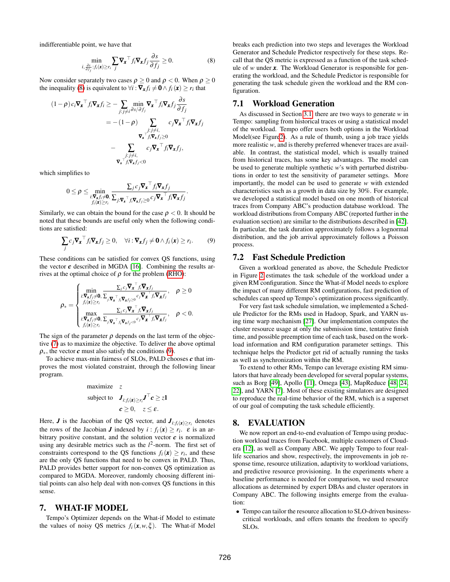indifferentiable point, we have that

<span id="page-6-0"></span>
$$
\min_{i, \frac{\partial s}{\partial f_j}:f_i(\mathbf{x}) \ge r_i} \sum_{j} \mathbf{\nabla}_{\mathbf{x}}^{\top} f_i \mathbf{\nabla}_{\mathbf{x}} f_j \frac{\partial s}{\partial f_j} \ge 0.
$$
 (8)

Now consider separately two cases  $\rho \ge 0$  and  $\rho < 0$ . When  $\rho \ge 0$ the inequality [\(8\)](#page-6-0) is equivalent to  $\forall i : \nabla_{\mathbf{x}} f_i \neq \mathbf{0} \land f_i(\mathbf{x}) \geq r_i$  that

$$
(1 - \rho) c_i \nabla_{\mathbf{x}}^{\top} f_i \nabla_{\mathbf{x}} f_i \geq - \sum_{j: j \neq i} \min_{\partial s/\partial f_j} \nabla_{\mathbf{x}}^{\top} f_i \nabla_{\mathbf{x}} f_j \frac{\partial s}{\partial f_j}
$$
  
\n
$$
= -(1 - \rho) \sum_{\substack{j: j \neq i, \\ \nabla_{\mathbf{x}}^{\top} f_i \nabla_{\mathbf{x}} f_j \geq 0}} c_j \nabla_{\mathbf{x}}^{\top} f_i \nabla_{\mathbf{x}} f_j
$$
  
\n
$$
- \sum_{\substack{j: j \neq i, \\ \nabla_{\mathbf{x}}^{\top} f_i \nabla_{\mathbf{x}} f_j < 0}} c_j \nabla_{\mathbf{x}}^{\top} f_i \nabla_{\mathbf{x}} f_j,
$$

which simplifies to

$$
0 \leq \rho \leq \min_{\substack{i:\nabla_{\mathbf{x}}f_i\neq \mathbf{0},\\f_i(\mathbf{x})\geq r_i}}\frac{\sum_j c_j\nabla_{\mathbf{x}}{}^{\top}f_i\nabla_{\mathbf{x}}f_j}{\sum_{j:\nabla_{\mathbf{x}}{}^{\top}f_i\nabla_{\mathbf{x}}f_j\geq 0}c_j\nabla_{\mathbf{x}}{}^{\top}f_i\nabla_{\mathbf{x}}f_j}
$$

Similarly, we can obtain the bound for the case  $\rho < 0$ . It should be noted that these bounds are useful only when the following conditions are satisfied:

$$
\sum_{j} c_j \nabla_{\mathbf{x}}^{\top} f_i \nabla_{\mathbf{x}} f_j \ge 0, \quad \forall i: \nabla_{\mathbf{x}} f_j \ne \mathbf{0} \wedge f_i(\mathbf{x}) \ge r_i.
$$
 (9)

.

These conditions can be satisfied for convex QS functions, using the vector *c* described in MGDA [\[16\]](#page-11-21). Combining the results arrives at the optimal choice of  $\rho$  for the problem [\(RHO\)](#page-5-5):

$$
\rho_* = \begin{cases} \min_{\substack{i:\mathbf{\nabla_x} f_j \neq \mathbf{0}, \\ f_i(\mathbf{x}) \geq r_i}} \frac{\sum_{j} c_j \mathbf{\nabla_x}^{\top} f_i \mathbf{\nabla_x} f_j}{\sum_{j: \mathbf{\nabla_x}^{\top} f_i \mathbf{\nabla_x} f_j \geq 0} c_j \mathbf{\nabla_x}^{\top} f_i \mathbf{\nabla_x} f_j}, & \rho \geq 0 \\ \max_{\substack{i:\mathbf{\nabla_x} f_j \neq \mathbf{0}, \\ f_i(\mathbf{x}) \geq r_i}} \frac{\sum_{j} c_j \mathbf{\nabla_x}^{\top} f_i \mathbf{\nabla_x} f_j}{\sum_{j: \mathbf{\nabla_x}^{\top} f_i \mathbf{\nabla_x} f_j \leq 0} c_j \mathbf{\nabla_x}^{\top} f_i \mathbf{\nabla_x} f_j}, & \rho < 0. \end{cases}
$$

The sign of the parameter  $\rho$  depends on the last term of the objective [\(7\)](#page-5-6) as to maximize the objective. To deliver the above optimal  $\rho_{*}$ , the vector  $c$  must also satisfy the conditions [\(9\)](#page-6-1).

To achieve max-min fairness of SLOs, PALD chooses *c* that improves the most violated constraint, through the following linear program.

maximize z  
subject to 
$$
\mathbf{J}_{i:f_i(\mathbf{x})\geq r_i}\mathbf{J}^\top \mathbf{c} \geq z\mathbf{1}
$$
  
 $\mathbf{c} \geq 0$ ,  $z \leq \varepsilon$ .

Here, *J* is the Jacobian of the QS vector, and  $J_{i:f_i(x)\geq r_i}$  denotes the rows of the Jacobian *J* indexed by  $i : f_i(x) \ge r_i$ .  $\varepsilon$  is an arbitrary positive constant, and the solution vector  $\boldsymbol{c}$  is normalized using any desirable metrics such as the  $l^2$ -norm. The first set of constraints correspond to the QS functions  $f_i(\mathbf{x}) \ge r_i$ , and these are the only QS functions that need to be convex in PALD. Thus, PALD provides better support for non-convex QS optimization as compared to MGDA. Moreover, randomly choosing different initial points can also help deal with non-convex QS functions in this sense.

### 7. WHAT-IF MODEL

Tempo's Optimizer depends on the What-if Model to estimate the values of noisy QS metrics  $f_i(x, w, \xi)$ . The What-if Model breaks each prediction into two steps and leverages the Workload Generator and Schedule Predictor respectively for these steps. Recall that the QS metric is expressed as a function of the task schedule of *w* under *x*. The Workload Generator is responsible for generating the workload, and the Schedule Predictor is responsible for generating the task schedule given the workload and the RM configuration.

#### 7.1 Workload Generation

As discussed in Section [3.1,](#page-2-4) there are two ways to generate *w* in Tempo: sampling from historical traces or using a statistical model of the workload. Tempo offer users both options in the Workload Model(see Figur[e2\)](#page-3-1). As a rule of thumb, using a job trace yields more realistic *w*, and is thereby preferred whenever traces are available. In contrast, the statistical model, which is usually trained from historical traces, has some key advantages. The model can be used to generate multiple synthetic *w*'s with perturbed distributions in order to test the sensitivity of parameter settings. More importantly, the model can be used to generate *w* with extended characteristics such as a growth in data size by 30%. For example, we developed a statistical model based on one month of historical traces from Company ABC's production database workload. The workload distributions from Company ABC (reported further in the evaluation section) are similar to the distributions described in [\[42\]](#page-11-30). In particular, the task duration approximately follows a lognormal distribution, and the job arrival approximately follows a Poisson process.

#### <span id="page-6-1"></span>7.2 Fast Schedule Prediction

Given a workload generated as above, the Schedule Predictor in Figure [2](#page-3-1) estimates the task schedule of the workload under a given RM configuration. Since the What-if Model needs to explore the impact of many different RM configurations, fast prediction of schedules can speed up Tempo's optimization process significantly.

For very fast task schedule simulation, we implemented a Schedule Predictor for the RMs used in Hadoop, Spark, and YARN using time warp mechanism [\[27\]](#page-11-31). Our implementation computes the cluster resource usage at only the submission time, tentative finish time, and possible preemption time of each task, based on the workload information and RM configuration parameter settings. This technique helps the Predictor get rid of actually running the tasks as well as synchronization within the RM.

To extend to other RMs, Tempo can leverage existing RM simulators that have already been developed for several popular systems, such as Borg [\[49\]](#page-11-32), Apollo [\[11\]](#page-10-4), Omega [\[43\]](#page-11-12), MapReduce [\[48,](#page-11-33) [24,](#page-11-34) [22\]](#page-11-35), and YARN [\[7\]](#page-10-8). Most of these existing simulators are designed to reproduce the real-time behavior of the RM, which is a superset of our goal of computing the task schedule efficiently.

#### 8. EVALUATION

We now report an end-to-end evaluation of Tempo using production workload traces from Facebook, multiple customers of Cloudera [\[12\]](#page-10-9), as well as Company ABC. We apply Tempo to four reallife scenarios and show, respectively, the improvements in job response time, resource utilization, adaptivity to workload variations, and predictive resource provisioning. In the experiments where a baseline performance is needed for comparison, we used resource allocations as determined by expert DBAs and cluster operators in Company ABC. The following insights emerge from the evaluation:

• Tempo can tailor the resource allocation to SLO-driven businesscritical workloads, and offers tenants the freedom to specify SLOs.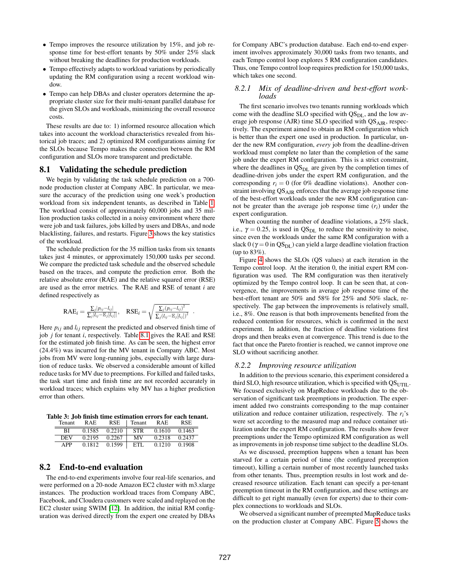- Tempo improves the resource utilization by 15%, and job response time for best-effort tenants by 50% under 25% slack without breaking the deadlines for production workloads.
- Tempo effectively adapts to workload variations by periodically updating the RM configuration using a recent workload window.
- Tempo can help DBAs and cluster operators determine the appropriate cluster size for their multi-tenant parallel database for the given SLOs and workloads, minimizing the overall resource costs.

These results are due to: 1) informed resource allocation which takes into account the workload characteristics revealed from historical job traces; and 2) optimized RM configurations aiming for the SLOs because Tempo makes the connection between the RM configuration and SLOs more transparent and predictable.

#### 8.1 Validating the schedule prediction

We begin by validating the task schedule prediction on a 700 node production cluster at Company ABC. In particular, we measure the accuracy of the prediction using one week's production workload from six independent tenants, as described in Table [1.](#page-1-0) The workload consist of approximately 60,000 jobs and 35 million production tasks collected in a noisy environment where there were job and task failures, jobs killed by users and DBAs, and node blacklisting, failures, and restarts. Figure [3](#page-8-0) shows the key statistics of the workload.

The schedule prediction for the 35 million tasks from six tenants takes just 4 minutes, or approximately 150,000 tasks per second. We compare the predicted task schedule and the observed schedule based on the traces, and compute the prediction error. Both the relative absolute error (RAE) and the relative squared error (RSE) are used as the error metrics. The RAE and RSE of tenant *i* are defined respectively as

$$
\text{RAE}_{i} = \frac{\sum_{j} |p_{ij} - l_{ij}|}{\sum_{j} |l_{ij} - \mathbb{E}_{j}[l_{ij}]|}, \quad \text{RSE}_{i} = \sqrt{\frac{\sum_{j} (p_{ij} - l_{ij})^{2}}{\sum_{j} (l_{ij} - \mathbb{E}_{j}[l_{ij}])^{2}}}
$$

.

Here  $p_{ij}$  and  $l_{ij}$  represent the predicted and observed finish time of job *j* for tenant *i*, respectively. Table [8.1](#page-8-0) gives the RAE and RSE for the estimated job finish time. As can be seen, the highest error (24.4%) was incurred for the MV tenant in Company ABC. Most jobs from MV were long-running jobs, especially with large duration of reduce tasks. We observed a considerable amount of killed reduce tasks for MV due to preemptions. For killed and failed tasks, the task start time and finish time are not recorded accurately in workload traces; which explains why MV has a higher prediction error than others.

Table 3: Job finish time estimation errors for each tenant.

| Tenant | R A E  | <b>RSE</b> | <b>Tenant</b> | R A E  | RSE    |
|--------|--------|------------|---------------|--------|--------|
| ВI     | 0.1585 | 0.2210     | <b>STR</b>    | 0.1610 | 0.1463 |
| DEV    | 0.2195 | 0.2267     | MV            | 0.2318 | 0.2437 |
| A PP   | 0.1812 | 0.1599     | ETL.          | 0.1210 | 0.1908 |

#### 8.2 End-to-end evaluation

The end-to-end experiments involve four real-life scenarios, and were performed on a 20-node Amazon EC2 cluster with m3.xlarge instances. The production workload traces from Company ABC, Facebook, and Cloudera customers were scaled and replayed on the EC2 cluster using SWIM [\[12\]](#page-10-9). In addition, the initial RM configuration was derived directly from the expert one created by DBAs

for Company ABC's production database. Each end-to-end experiment involves approximately 30,000 tasks from two tenants, and each Tempo control loop explores 5 RM configuration candidates. Thus, one Tempo control loop requires prediction for 150,000 tasks, which takes one second.

#### *8.2.1 Mix of deadline-driven and best-effort workloads*

The first scenario involves two tenants running workloads which come with the deadline SLO specified with  $QS<sub>DI</sub>$ , and the low average job response (AJR) time SLO specified with  $QS<sub>AJR</sub>$ , respectively. The experiment aimed to obtain an RM configuration which is better than the expert one used in production. In particular, under the new RM configuration, *every* job from the deadline-driven workload must complete no later than the completion of the same job under the expert RM configuration. This is a strict constraint, where the deadlines in  $QS<sub>DL</sub>$  are given by the completion times of deadline-driven jobs under the expert RM configuration, and the corresponding  $r_i = 0$  (for 0% deadline violations). Another constraint involving  $QS<sub>AJR</sub>$  enforces that the average job response time of the best-effort workloads under the new RM configuration cannot be greater than the average job response time (*ri*) under the expert configuration.

When counting the number of deadline violations, a 25% slack, i.e.,  $\gamma = 0.25$ , is used in  $QS<sub>DL</sub>$  to reduce the sensitivity to noise, since even the workloads under the same RM configuration with a slack  $0$  ( $\gamma = 0$  in QS<sub>DL</sub>) can yield a large deadline violation fraction (up to 83%).

Figure [4](#page-8-1) shows the SLOs (QS values) at each iteration in the Tempo control loop. At the iteration 0, the initial expert RM configuration was used. The RM configuration was then iteratively optimized by the Tempo control loop. It can be seen that, at convergence, the improvements in average job response time of the best-effort tenant are 50% and 58% for 25% and 50% slack, respectively. The gap between the improvements is relatively small, i.e., 8%. One reason is that both improvements benefited from the reduced contention for resources, which is confirmed in the next experiment. In addition, the fraction of deadline violations first drops and then breaks even at convergence. This trend is due to the fact that once the Pareto frontier is reached, we cannot improve one SLO without sacrificing another.

#### *8.2.2 Improving resource utilization*

In addition to the previous scenario, this experiment considered a third SLO, high resource utilization, which is specified with  $QS<sub>UTH</sub>$ . We focused exclusively on MapReduce workloads due to the observation of significant task preemptions in production. The experiment added two constraints corresponding to the map container utilization and reduce container utilization, respectively. The  $r_i$ 's were set according to the measured map and reduce container utilization under the expert RM configuration. The results show fewer preemptions under the Tempo optimized RM configuration as well as improvements in job response time subject to the deadline SLOs.

As we discussed, preemption happens when a tenant has been starved for a certain period of time (the configured preemption timeout), killing a certain number of most recently launched tasks from other tenants. Thus, preemption results in lost work and decreased resource utilization. Each tenant can specify a per-tenant preemption timeout in the RM configuration, and these settings are difficult to get right manually (even for experts) due to their complex connections to workloads and SLOs.

We observed a significant number of preempted MapReduce tasks on the production cluster at Company ABC. Figure [5](#page-8-2) shows the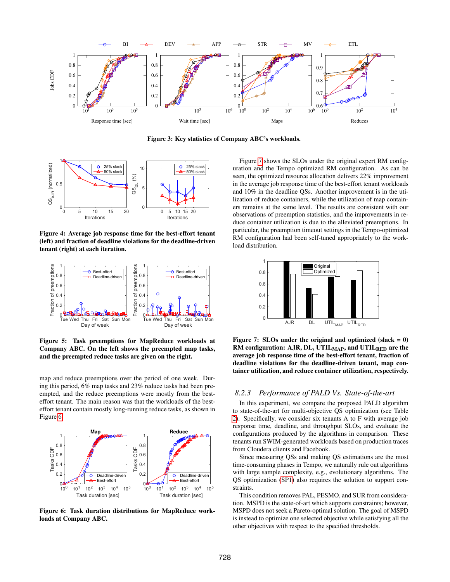

<span id="page-8-0"></span>Figure 3: Key statistics of Company ABC's workloads.



<span id="page-8-1"></span>Figure 4: Average job response time for the best-effort tenant (left) and fraction of deadline violations for the deadline-driven tenant (right) at each iteration.



<span id="page-8-2"></span>Figure 5: Task preemptions for MapReduce workloads at Company ABC. On the left shows the preempted map tasks, and the preempted reduce tasks are given on the right.

map and reduce preemptions over the period of one week. During this period, 6% map tasks and 23% reduce tasks had been preempted, and the reduce preemptions were mostly from the besteffort tenant. The main reason was that the workloads of the besteffort tenant contain mostly long-running reduce tasks, as shown in Figure [6.](#page-8-3)



<span id="page-8-3"></span>Figure 6: Task duration distributions for MapReduce workloads at Company ABC.

Figure [7](#page-8-4) shows the SLOs under the original expert RM configuration and the Tempo optimized RM configuration. As can be seen, the optimized resource allocation delivers 22% improvement in the average job response time of the best-effort tenant workloads and 10% in the deadline QSs. Another improvement is in the utilization of reduce containers, while the utilization of map containers remains at the same level. The results are consistent with our observations of preemption statistics, and the improvements in reduce container utilization is due to the alleviated preemptions. In particular, the preemption timeout settings in the Tempo-optimized RM configuration had been self-tuned appropriately to the workload distribution.



<span id="page-8-4"></span>Figure 7: SLOs under the original and optimized (slack  $= 0$ ) RM configuration: AJR, DL, UTIL $_{\text{MAP}}$ , and UTIL $_{\text{RED}}$  are the average job response time of the best-effort tenant, fraction of deadline violations for the deadline-driven tenant, map container utilization, and reduce container utilization, respectively.

#### *8.2.3 Performance of PALD Vs. State-of-the-art*

In this experiment, we compare the proposed PALD algorithm to state-of-the-art for multi-objective QS optimization (see Table [2\)](#page-5-0). Specifically, we consider six tenants A to F with average job response time, deadline, and throughput SLOs, and evaluate the configurations produced by the algorithms in comparison. These tenants run SWIM-generated workloads based on production traces from Cloudera clients and Facebook.

Since measuring QSs and making QS estimations are the most time-consuming phases in Tempo, we naturally rule out algorithms with large sample complexity, e.g., evolutionary algorithms. The QS optimization [\(SP1\)](#page-4-2) also requires the solution to support constraints.

This condition removes PAL, PESMO, and SUR from consideration. MSPD is the state-of-art which supports constraints; however, MSPD does not seek a Pareto-optimal solution. The goal of MSPD is instead to optimize one selected objective while satisfying all the other objectives with respect to the specified thresholds.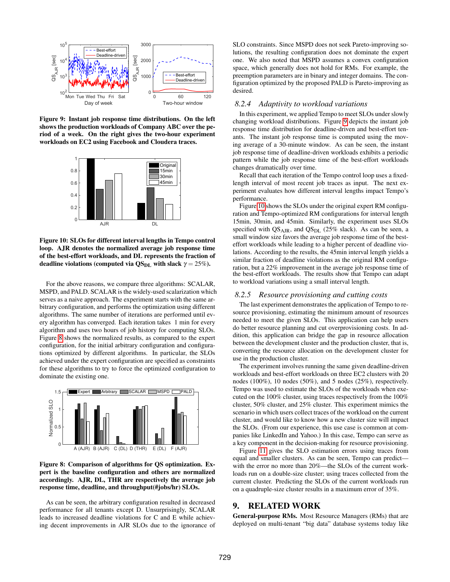

<span id="page-9-1"></span>Figure 9: Instant job response time distributions. On the left shows the production workloads of Company ABC over the period of a week. On the right gives the two-hour experiment workloads on EC2 using Facebook and Cloudera traces.



<span id="page-9-2"></span>Figure 10: SLOs for different interval lengths in Tempo control loop. AJR denotes the normalized average job response time of the best-effort workloads, and DL represents the fraction of deadline violations (computed via  $\text{QS}_{\text{DL}}$  with slack  $\gamma = 25\%$ ).

For the above reasons, we compare three algorithms: SCALAR, MSPD, and PALD. SCALAR is the widely-used scalarization which serves as a naive approach. The experiment starts with the same arbitrary configuration, and performs the optimization using different algorithms. The same number of iterations are performed until every algorithm has converged. Each iteration takes 1 min for every algorithm and uses two hours of job history for computing SLOs. Figure [8](#page-9-0) shows the normalized results, as compared to the expert configuration, for the initial arbitrary configuration and configurations optimized by different algorithms. In particular, the SLOs achieved under the expert configuration are specified as constraints for these algorithms to try to force the optimized configuration to dominate the existing one.



<span id="page-9-0"></span>Figure 8: Comparison of algorithms for QS optimization. Expert is the baseline configuration and others are normalized accordingly. AJR, DL, THR are respectively the average job response time, deadline, and throughput(#jobs/hr) SLOs.

As can be seen, the arbitrary configuration resulted in decreased performance for all tenants except D. Unsurprisingly, SCALAR leads to increased deadline violations for C and E while achieving decent improvements in AJR SLOs due to the ignorance of SLO constraints. Since MSPD does not seek Pareto-improving solutions, the resulting configuration does not dominate the expert one. We also noted that MSPD assumes a convex configuration space, which generally does not hold for RMs. For example, the preemption parameters are in binary and integer domains. The configuration optimized by the proposed PALD is Pareto-improving as desired.

#### *8.2.4 Adaptivity to workload variations*

In this experiment, we applied Tempo to meet SLOs under slowly changing workload distributions. Figure [9](#page-9-1) depicts the instant job response time distribution for deadline-driven and best-effort tenants. The instant job response time is computed using the moving average of a 30-minute window. As can be seen, the instant job response time of deadline-driven workloads exhibits a periodic pattern while the job response time of the best-effort workloads changes dramatically over time.

Recall that each iteration of the Tempo control loop uses a fixedlength interval of most recent job traces as input. The next experiment evaluates how different interval lengths impact Tempo's performance.

Figure [10](#page-9-2) shows the SLOs under the original expert RM configuration and Tempo-optimized RM configurations for interval length 15min, 30min, and 45min. Similarly, the experiment uses SLOs specified with  $QS<sub>AJR</sub>$ , and  $QS<sub>DL</sub>$  (25% slack). As can be seen, a small window size favors the average job response time of the besteffort workloads while leading to a higher percent of deadline violations. According to the results, the 45min interval length yields a similar fraction of deadline violations as the original RM configuration, but a 22% improvement in the average job response time of the best-effort workloads. The results show that Tempo can adapt to workload variations using a small interval length.

#### *8.2.5 Resource provisioning and cutting costs*

The last experiment demonstrates the application of Tempo to resource provisioning, estimating the minimum amount of resources needed to meet the given SLOs. This application can help users do better resource planning and cut overprovisioning costs. In addition, this application can bridge the gap in resource allocation between the development cluster and the production cluster, that is, converting the resource allocation on the development cluster for use in the production cluster.

The experiment involves running the same given deadline-driven workloads and best-effort workloads on three EC2 clusters with 20 nodes (100%), 10 nodes (50%), and 5 nodes (25%), respectively. Tempo was used to estimate the SLOs of the workloads when executed on the 100% cluster, using traces respectively from the 100% cluster, 50% cluster, and 25% cluster. This experiment mimics the scenario in which users collect traces of the workload on the current cluster, and would like to know how a new cluster size will impact the SLOs. (From our experience, this use case is common at companies like LinkedIn and Yahoo.) In this case, Tempo can serve as a key component in the decision-making for resource provisioning.

Figure [11](#page-10-10) gives the SLO estimation errors using traces from equal and smaller clusters. As can be seen, Tempo can predict with the error no more than  $20\%$ —the SLOs of the current workloads run on a double-size cluster; using traces collected from the current cluster. Predicting the SLOs of the current workloads run on a quadruple-size cluster results in a maximum error of 35%.

#### 9. RELATED WORK

General-purpose RMs. Most Resource Managers (RMs) that are deployed on multi-tenant "big data" database systems today like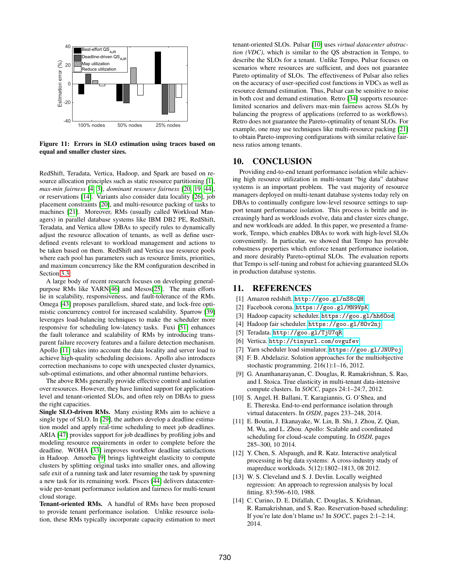

<span id="page-10-10"></span>Figure 11: Errors in SLO estimation using traces based on equal and smaller cluster sizes.

RedShift, Teradata, Vertica, Hadoop, and Spark are based on resource allocation principles such as static resource partitioning [\[1\]](#page-10-0), *max-min fairness* [\[4,](#page-10-11) [3\]](#page-10-12), *dominant resource fairness* [\[20,](#page-11-15) [19,](#page-11-16) [44\]](#page-11-17), or reservations [\[14\]](#page-10-3). Variants also consider data locality [\[26\]](#page-11-36), job placement constraints [\[20\]](#page-11-15), and multi-resource packing of tasks to machines [\[21\]](#page-11-10). Moreover, RMs (usually called Workload Managers) in parallel database systems like IBM DB2 PE, RedShift, Teradata, and Vertica allow DBAs to specify rules to dynamically adjust the resource allocation of tenants, as well as define userdefined events relevant to workload management and actions to be taken based on them. RedShift and Vertica use resource pools where each pool has parameters such as resource limits, priorities, and maximum concurrency like the RM configuration described in Section [3.3.](#page-2-1)

A large body of recent research focuses on developing generalpurpose RMs like YARN[\[46\]](#page-11-1) and Mesos[\[25\]](#page-11-0). The main efforts lie in scalability, responsiveness, and fault-tolerance of the RMs. Omega [\[43\]](#page-11-12) proposes parallelism, shared state, and lock-free optimistic concurrency control for increased scalability. Sparrow [\[39\]](#page-11-11) leverages load-balancing techniques to make the scheduler more responsive for scheduling low-latency tasks. Fuxi [\[51\]](#page-11-13) enhances the fault tolerance and scalability of RMs by introducing transparent failure recovery features and a failure detection mechanism. Apollo [\[11\]](#page-10-4) takes into account the data locality and server load to achieve high-quality scheduling decisions. Apollo also introduces correction mechanisms to cope with unexpected cluster dynamics, sub-optimal estimations, and other abnormal runtime behaviors.

The above RMs generally provide effective control and isolation over resources. However, they have limited support for applicationlevel and tenant-oriented SLOs, and often rely on DBAs to guess the right capacities.

Single SLO-driven RMs. Many existing RMs aim to achieve a single type of SLO. In [\[29\]](#page-11-37), the authors develop a deadline estimation model and apply real-time scheduling to meet job deadlines. ARIA [\[47\]](#page-11-9) provides support for job deadlines by profiling jobs and modeling resource requirements in order to complete before the deadline. WOHA [\[33\]](#page-11-7) improves workflow deadline satisfactions in Hadoop. Amoeba [\[9\]](#page-10-13) brings lightweight elasticity to compute clusters by splitting original tasks into smaller ones, and allowing safe exit of a running task and later resuming the task by spawning a new task for its remaining work. Pisces [\[44\]](#page-11-17) delivers datacenterwide per-tenant performance isolation and fairness for multi-tenant cloud storage.

Tenant-oriented RMs. A handful of RMs have been proposed to provide tenant performance isolation. Unlike resource isolation, these RMs typically incorporate capacity estimation to meet tenant-oriented SLOs. Pulsar [\[10\]](#page-10-14) uses *virtual datacenter abstraction (VDC)*, which is similar to the QS abstraction in Tempo, to describe the SLOs for a tenant. Unlike Tempo, Pulsar focuses on scenarios where resources are sufficient, and does not guarantee Pareto optimality of SLOs. The effectiveness of Pulsar also relies on the accuracy of user-specified cost functions in VDCs as well as resource demand estimation. Thus, Pulsar can be sensitive to noise in both cost and demand estimation. Retro [\[34\]](#page-11-14) supports resourcelimited scenarios and delivers max-min fairness across SLOs by balancing the progress of applications (referred to as workflows). Retro does not guarantee the Pareto-optimality of tenant SLOs. For example, one may use techniques like multi-resource packing [\[21\]](#page-11-10) to obtain Pareto-improving configurations with similar relative fairness ratios among tenants.

# 10. CONCLUSION

Providing end-to-end tenant performance isolation while achieving high resource utilization in multi-tenant "big data" database systems is an important problem. The vast majority of resource managers deployed on multi-tenant database systems today rely on DBAs to continually configure low-level resource settings to support tenant performance isolation. This process is brittle and increasingly hard as workloads evolve, data and cluster sizes change, and new workloads are added. In this paper, we presented a framework, Tempo, which enables DBAs to work with high-level SLOs conveniently. In particular, we showed that Tempo has provable robustness properties which enforce tenant performance isolation, and more desirably Pareto-optimal SLOs. The evaluation reports that Tempo is self-tuning and robust for achieving guaranteed SLOs in production database systems.

# 11. REFERENCES

- <span id="page-10-0"></span>[1] Amazon redshift. <http://goo.gl/nS8cQH>.
- <span id="page-10-5"></span>[2] Facebook corona. <https://goo.gl/MN9VpK>.
- <span id="page-10-12"></span>[3] Hadoop capacity scheduler. <https://goo.gl/hh6Ood>.
- <span id="page-10-11"></span>[4] Hadoop fair scheduler. <https://goo.gl/8Ov2nj>.
- <span id="page-10-1"></span>[5] Teradata. <http://goo.gl/TjU7qR>.
- <span id="page-10-2"></span>[6] Vertica. <http://tinyurl.com/ovgufev>.
- <span id="page-10-8"></span>[7] Yarn scheduler load simulator. <https://goo.gl/JNUPoj>.
- <span id="page-10-6"></span>[8] F. B. Abdelaziz. Solution approaches for the multiobjective stochastic programming. 216(1):1–16, 2012.
- <span id="page-10-13"></span>[9] G. Ananthanarayanan, C. Douglas, R. Ramakrishnan, S. Rao, and I. Stoica. True elasticity in multi-tenant data-intensive compute clusters. In *SOCC*, pages 24:1–24:7, 2012.
- <span id="page-10-14"></span>[10] S. Angel, H. Ballani, T. Karagiannis, G. O'Shea, and E. Thereska. End-to-end performance isolation through virtual datacenters. In *OSDI*, pages 233–248, 2014.
- <span id="page-10-4"></span>[11] E. Boutin, J. Ekanayake, W. Lin, B. Shi, J. Zhou, Z. Qian, M. Wu, and L. Zhou. Apollo: Scalable and coordinated scheduling for cloud-scale computing. In *OSDI*, pages 285–300, 10 2014.
- <span id="page-10-9"></span>[12] Y. Chen, S. Alspaugh, and R. Katz. Interactive analytical processing in big data systems: A cross-industry study of mapreduce workloads. 5(12):1802–1813, 08 2012.
- <span id="page-10-7"></span>[13] W. S. Cleveland and S. J. Devlin. Locally weighted regression: An approach to regression analysis by local fitting. 83:596–610, 1988.
- <span id="page-10-3"></span>[14] C. Curino, D. E. Difallah, C. Douglas, S. Krishnan, R. Ramakrishnan, and S. Rao. Reservation-based scheduling: If you're late don't blame us! In *SOCC*, pages 2:1–2:14, 2014.